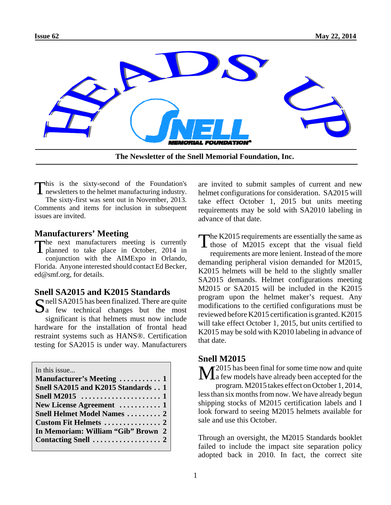

**The Newsletter of the Snell Memorial Foundation, Inc.**

This is the sixty-second of the Foundation's<br>newsletters to the helmet manufacturing industry. The sixty-first was sent out in November, 2013.

Comments and items for inclusion in subsequent issues are invited.

### **Manufacturers' Meeting**

The next manufacturers meeting is currently **I** planned to take place in October, 2014 in

conjunction with the AIMExpo in Orlando, Florida. Anyone interested should contact Ed Becker, ed@smf.org, for details.

# **Snell SA2015 and K2015 Standards**

 $\Omega$  nell SA2015 has been finalized. There are quite  $\Delta a$  few technical changes but the most significant is that helmets must now include hardware for the installation of frontal head restraint systems such as HANS®. Certification testing for SA2015 is under way. Manufacturers

| In this issue                                                   |  |
|-----------------------------------------------------------------|--|
| Manufacturer's Meeting  1                                       |  |
| Snell SA2015 and K2015 Standards 1                              |  |
| Snell M2015 $\dots \dots \dots \dots \dots \dots \dots \dots 1$ |  |
| New License Agreement  1                                        |  |
| <b>Snell Helmet Model Names  2</b>                              |  |
|                                                                 |  |
| In Memoriam: William "Gib" Brown 2                              |  |
|                                                                 |  |
|                                                                 |  |

are invited to submit samples of current and new helmet configurations for consideration. SA2015 will take effect October 1, 2015 but units meeting requirements may be sold with SA2010 labeling in advance of that date.

The K2015 requirements are essentially the same as  $\blacksquare$  those of M2015 except that the visual field requirements are more lenient. Instead of the more demanding peripheral vision demanded for M2015, K2015 helmets will be held to the slightly smaller SA2015 demands. Helmet configurations meeting M2015 or SA2015 will be included in the K2015 program upon the helmet maker's request. Any modifications to the certified configurations must be reviewed before K2015 certification is granted. K2015 will take effect October 1, 2015, but units certified to K2015 may be sold with K2010 labeling in advance of that date.

#### **Snell M2015**

 $\bf{M}^{2015}$  has been final for some time now and quite  $\bf{M}$  a few models have already been accepted for the program. M2015 takes effect on October 1, 2014, less than six months from now. We have already begun shipping stocks of M2015 certification labels and I look forward to seeing M2015 helmets available for sale and use this October.

Through an oversight, the M2015 Standards booklet failed to include the impact site separation policy adopted back in 2010. In fact, the correct site